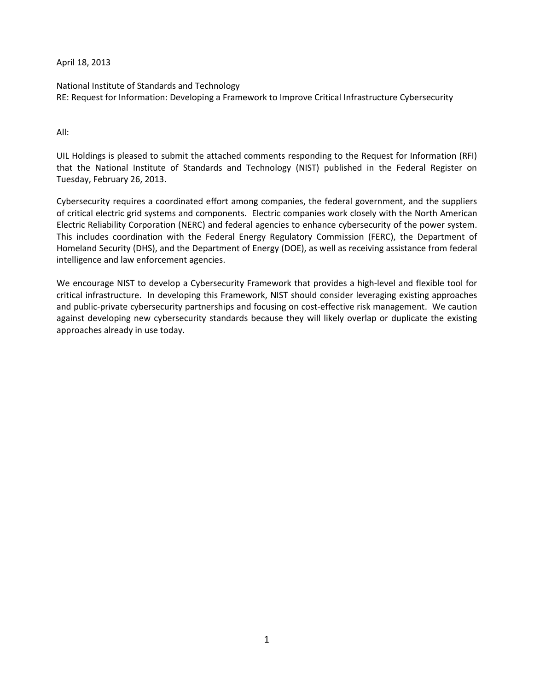April 18, 2013

National Institute of Standards and Technology RE: Request for Information: Developing a Framework to Improve Critical Infrastructure Cybersecurity

All:

UIL Holdings is pleased to submit the attached comments responding to the Request for Information (RFI) that the National Institute of Standards and Technology (NIST) published in the Federal Register on Tuesday, February 26, 2013.

Cybersecurity requires a coordinated effort among companies, the federal government, and the suppliers of critical electric grid systems and components. Electric companies work closely with the North American Electric Reliability Corporation (NERC) and federal agencies to enhance cybersecurity of the power system. This includes coordination with the Federal Energy Regulatory Commission (FERC), the Department of Homeland Security (DHS), and the Department of Energy (DOE), as well as receiving assistance from federal intelligence and law enforcement agencies.

We encourage NIST to develop a Cybersecurity Framework that provides a high-level and flexible tool for critical infrastructure. In developing this Framework, NIST should consider leveraging existing approaches and public-private cybersecurity partnerships and focusing on cost-effective risk management. We caution against developing new cybersecurity standards because they will likely overlap or duplicate the existing approaches already in use today.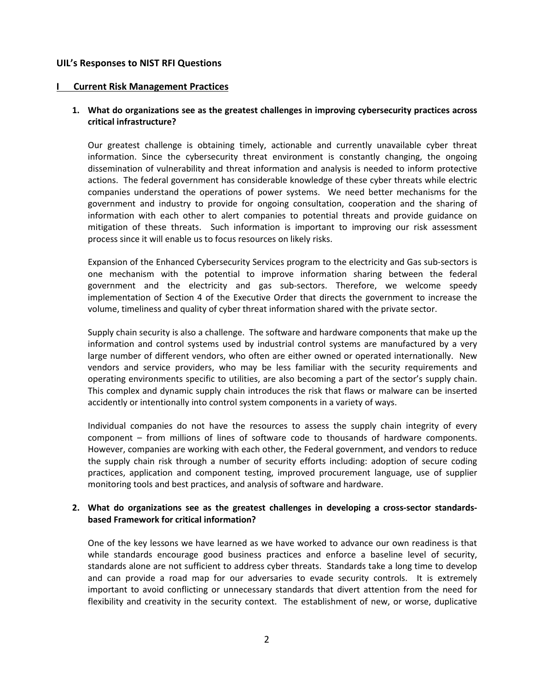#### **UIL's Responses to NIST RFI Questions**

#### **I Current Risk Management Practices**

## **1. What do organizations see as the greatest challenges in improving cybersecurity practices across critical infrastructure?**

Our greatest challenge is obtaining timely, actionable and currently unavailable cyber threat information. Since the cybersecurity threat environment is constantly changing, the ongoing dissemination of vulnerability and threat information and analysis is needed to inform protective actions. The federal government has considerable knowledge of these cyber threats while electric companies understand the operations of power systems. We need better mechanisms for the government and industry to provide for ongoing consultation, cooperation and the sharing of information with each other to alert companies to potential threats and provide guidance on mitigation of these threats. Such information is important to improving our risk assessment process since it will enable us to focus resources on likely risks.

Expansion of the Enhanced Cybersecurity Services program to the electricity and Gas sub-sectors is one mechanism with the potential to improve information sharing between the federal government and the electricity and gas sub-sectors. Therefore, we welcome speedy implementation of Section 4 of the Executive Order that directs the government to increase the volume, timeliness and quality of cyber threat information shared with the private sector.

Supply chain security is also a challenge. The software and hardware components that make up the information and control systems used by industrial control systems are manufactured by a very large number of different vendors, who often are either owned or operated internationally. New vendors and service providers, who may be less familiar with the security requirements and operating environments specific to utilities, are also becoming a part of the sector's supply chain. This complex and dynamic supply chain introduces the risk that flaws or malware can be inserted accidently or intentionally into control system components in a variety of ways.

Individual companies do not have the resources to assess the supply chain integrity of every component – from millions of lines of software code to thousands of hardware components. However, companies are working with each other, the Federal government, and vendors to reduce the supply chain risk through a number of security efforts including: adoption of secure coding practices, application and component testing, improved procurement language, use of supplier monitoring tools and best practices, and analysis of software and hardware.

### **2. What do organizations see as the greatest challenges in developing a cross-sector standardsbased Framework for critical information?**

One of the key lessons we have learned as we have worked to advance our own readiness is that while standards encourage good business practices and enforce a baseline level of security, standards alone are not sufficient to address cyber threats. Standards take a long time to develop and can provide a road map for our adversaries to evade security controls. It is extremely important to avoid conflicting or unnecessary standards that divert attention from the need for flexibility and creativity in the security context. The establishment of new, or worse, duplicative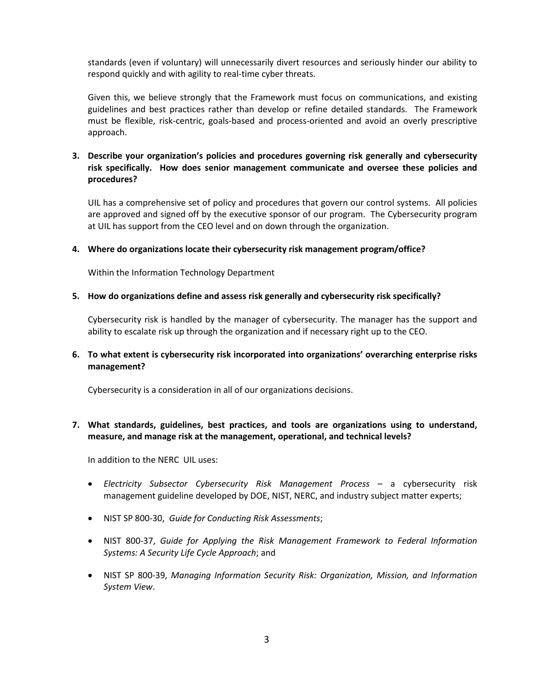standards (even if voluntary) will unnecessarily divert resources and seriously hinder our ability to respond quickly and with agility to real-time cyber threats.

Given this, we believe strongly that the Framework must focus on communications, and existing guidelines and best practices rather than develop or refine detailed standards. The Framework must be flexible, risk-centric, goals-based and process-oriented and avoid an overly prescriptive approach.

# **3. Describe your organization's policies and procedures governing risk generally and cybersecurity risk specifically. How does senior management communicate and oversee these policies and procedures?**

UIL has a comprehensive set of policy and procedures that govern our control systems. All policies are approved and signed off by the executive sponsor of our program. The Cybersecurity program at UIL has support from the CEO level and on down through the organization.

#### **4. Where do organizations locate their cybersecurity risk management program/office?**

Within the Information Technology Department

#### **5. How do organizations define and assess risk generally and cybersecurity risk specifically?**

Cybersecurity risk is handled by the manager of cybersecurity. The manager has the support and ability to escalate risk up through the organization and if necessary right up to the CEO.

### **6. To what extent is cybersecurity risk incorporated into organizations' overarching enterprise risks management?**

Cybersecurity is a consideration in all of our organizations decisions.

# **7. What standards, guidelines, best practices, and tools are organizations using to understand, measure, and manage risk at the management, operational, and technical levels?**

In addition to the NERC UIL uses:

- *Electricity Subsector Cybersecurity Risk Management Process* a cybersecurity risk management guideline developed by DOE, NIST, NERC, and industry subject matter experts;
- NIST SP 800-30, *Guide for Conducting Risk Assessments*;
- NIST 800-37, *Guide for Applying the Risk Management Framework to Federal Information Systems: A Security Life Cycle Approach*; and
- NIST SP 800-39, *Managing Information Security Risk: Organization, Mission, and Information System View*.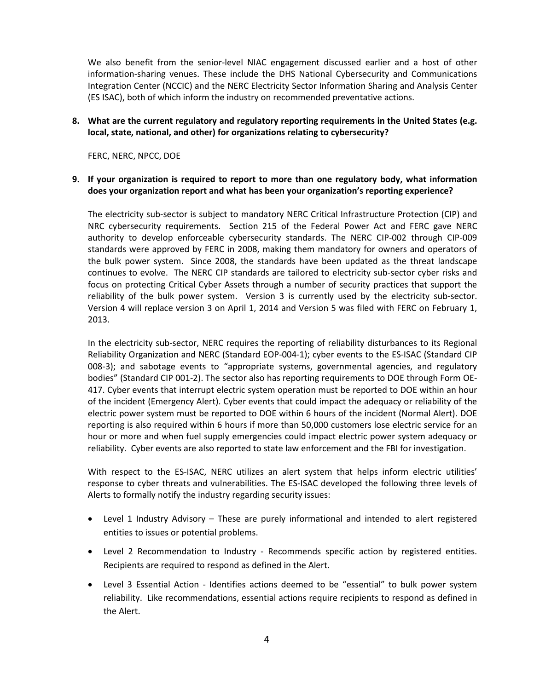We also benefit from the senior-level NIAC engagement discussed earlier and a host of other information-sharing venues. These include the DHS National Cybersecurity and Communications Integration Center (NCCIC) and the NERC Electricity Sector Information Sharing and Analysis Center (ES ISAC), both of which inform the industry on recommended preventative actions.

### **8. What are the current regulatory and regulatory reporting requirements in the United States (e.g. local, state, national, and other) for organizations relating to cybersecurity?**

FERC, NERC, NPCC, DOE

### **9. If your organization is required to report to more than one regulatory body, what information does your organization report and what has been your organization's reporting experience?**

The electricity sub-sector is subject to mandatory NERC Critical Infrastructure Protection (CIP) and NRC cybersecurity requirements. Section 215 of the Federal Power Act and FERC gave NERC authority to develop enforceable cybersecurity standards. The NERC CIP-002 through CIP-009 standards were approved by FERC in 2008, making them mandatory for owners and operators of the bulk power system. Since 2008, the standards have been updated as the threat landscape continues to evolve. The NERC CIP standards are tailored to electricity sub-sector cyber risks and focus on protecting Critical Cyber Assets through a number of security practices that support the reliability of the bulk power system. Version 3 is currently used by the electricity sub-sector. Version 4 will replace version 3 on April 1, 2014 and Version 5 was filed with FERC on February 1, 2013.

In the electricity sub-sector, NERC requires the reporting of reliability disturbances to its Regional Reliability Organization and NERC (Standard EOP-004-1); cyber events to the ES-ISAC (Standard CIP 008-3); and sabotage events to "appropriate systems, governmental agencies, and regulatory bodies" (Standard CIP 001-2). The sector also has reporting requirements to DOE through Form OE-417. Cyber events that interrupt electric system operation must be reported to DOE within an hour of the incident (Emergency Alert). Cyber events that could impact the adequacy or reliability of the electric power system must be reported to DOE within 6 hours of the incident (Normal Alert). DOE reporting is also required within 6 hours if more than 50,000 customers lose electric service for an hour or more and when fuel supply emergencies could impact electric power system adequacy or reliability. Cyber events are also reported to state law enforcement and the FBI for investigation.

With respect to the ES-ISAC, NERC utilizes an alert system that helps inform electric utilities' response to cyber threats and vulnerabilities. The ES-ISAC developed the following three levels of Alerts to formally notify the industry regarding security issues:

- Level 1 Industry Advisory These are purely informational and intended to alert registered entities to issues or potential problems.
- Level 2 Recommendation to Industry Recommends specific action by registered entities. Recipients are required to respond as defined in the Alert.
- Level 3 Essential Action Identifies actions deemed to be "essential" to bulk power system reliability. Like recommendations, essential actions require recipients to respond as defined in the Alert.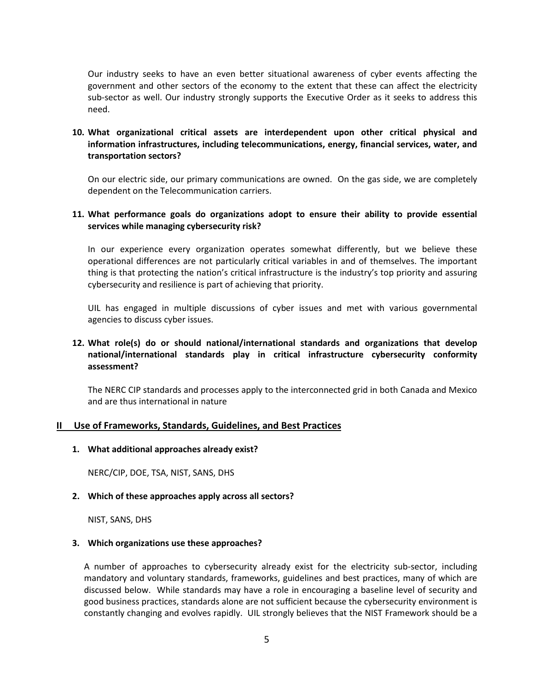Our industry seeks to have an even better situational awareness of cyber events affecting the government and other sectors of the economy to the extent that these can affect the electricity sub-sector as well. Our industry strongly supports the Executive Order as it seeks to address this need.

# **10. What organizational critical assets are interdependent upon other critical physical and information infrastructures, including telecommunications, energy, financial services, water, and transportation sectors?**

On our electric side, our primary communications are owned. On the gas side, we are completely dependent on the Telecommunication carriers.

#### **11. What performance goals do organizations adopt to ensure their ability to provide essential services while managing cybersecurity risk?**

In our experience every organization operates somewhat differently, but we believe these operational differences are not particularly critical variables in and of themselves. The important thing is that protecting the nation's critical infrastructure is the industry's top priority and assuring cybersecurity and resilience is part of achieving that priority.

UIL has engaged in multiple discussions of cyber issues and met with various governmental agencies to discuss cyber issues.

# **12. What role(s) do or should national/international standards and organizations that develop national/international standards play in critical infrastructure cybersecurity conformity assessment?**

The NERC CIP standards and processes apply to the interconnected grid in both Canada and Mexico and are thus international in nature

#### **II Use of Frameworks, Standards, Guidelines, and Best Practices**

**1. What additional approaches already exist?**

NERC/CIP, DOE, TSA, NIST, SANS, DHS

**2. Which of these approaches apply across all sectors?** 

NIST, SANS, DHS

#### **3. Which organizations use these approaches?**

A number of approaches to cybersecurity already exist for the electricity sub-sector, including mandatory and voluntary standards, frameworks, guidelines and best practices, many of which are discussed below. While standards may have a role in encouraging a baseline level of security and good business practices, standards alone are not sufficient because the cybersecurity environment is constantly changing and evolves rapidly. UIL strongly believes that the NIST Framework should be a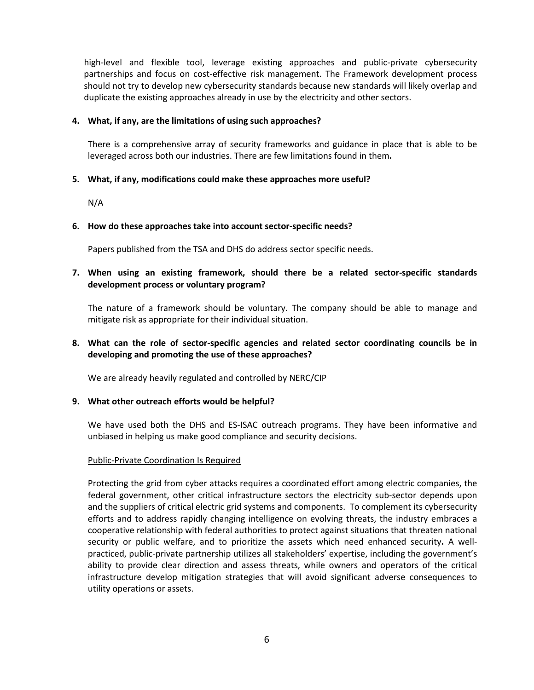high-level and flexible tool, leverage existing approaches and public-private cybersecurity partnerships and focus on cost-effective risk management. The Framework development process should not try to develop new cybersecurity standards because new standards will likely overlap and duplicate the existing approaches already in use by the electricity and other sectors.

#### **4. What, if any, are the limitations of using such approaches?**

There is a comprehensive array of security frameworks and guidance in place that is able to be leveraged across both our industries. There are few limitations found in them**.** 

### **5. What, if any, modifications could make these approaches more useful?**

N/A

#### **6. How do these approaches take into account sector-specific needs?**

Papers published from the TSA and DHS do address sector specific needs.

## **7. When using an existing framework, should there be a related sector-specific standards development process or voluntary program?**

The nature of a framework should be voluntary. The company should be able to manage and mitigate risk as appropriate for their individual situation.

# **8. What can the role of sector-specific agencies and related sector coordinating councils be in developing and promoting the use of these approaches?**

We are already heavily regulated and controlled by NERC/CIP

#### **9. What other outreach efforts would be helpful?**

We have used both the DHS and ES-ISAC outreach programs. They have been informative and unbiased in helping us make good compliance and security decisions.

#### Public-Private Coordination Is Required

Protecting the grid from cyber attacks requires a coordinated effort among electric companies, the federal government, other critical infrastructure sectors the electricity sub-sector depends upon and the suppliers of critical electric grid systems and components. To complement its cybersecurity efforts and to address rapidly changing intelligence on evolving threats, the industry embraces a cooperative relationship with federal authorities to protect against situations that threaten national security or public welfare, and to prioritize the assets which need enhanced security**.** A wellpracticed, public-private partnership utilizes all stakeholders' expertise, including the government's ability to provide clear direction and assess threats, while owners and operators of the critical infrastructure develop mitigation strategies that will avoid significant adverse consequences to utility operations or assets.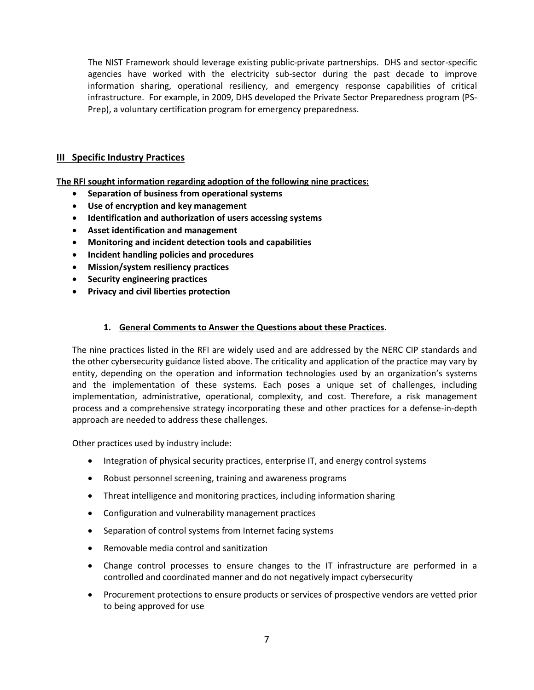The NIST Framework should leverage existing public-private partnerships. DHS and sector-specific agencies have worked with the electricity sub-sector during the past decade to improve information sharing, operational resiliency, and emergency response capabilities of critical infrastructure. For example, in 2009, DHS developed the Private Sector Preparedness program (PS-Prep), a voluntary certification program for emergency preparedness.

# **III Specific Industry Practices**

**The RFI sought information regarding adoption of the following nine practices:** 

- **Separation of business from operational systems**
- **Use of encryption and key management**
- **Identification and authorization of users accessing systems**
- **Asset identification and management**
- **Monitoring and incident detection tools and capabilities**
- **Incident handling policies and procedures**
- **Mission/system resiliency practices**
- **Security engineering practices**
- **Privacy and civil liberties protection**

### **1. General Comments to Answer the Questions about these Practices.**

The nine practices listed in the RFI are widely used and are addressed by the NERC CIP standards and the other cybersecurity guidance listed above. The criticality and application of the practice may vary by entity, depending on the operation and information technologies used by an organization's systems and the implementation of these systems. Each poses a unique set of challenges, including implementation, administrative, operational, complexity, and cost. Therefore, a risk management process and a comprehensive strategy incorporating these and other practices for a defense-in-depth approach are needed to address these challenges.

Other practices used by industry include:

- Integration of physical security practices, enterprise IT, and energy control systems
- Robust personnel screening, training and awareness programs
- Threat intelligence and monitoring practices, including information sharing
- Configuration and vulnerability management practices
- Separation of control systems from Internet facing systems
- Removable media control and sanitization
- Change control processes to ensure changes to the IT infrastructure are performed in a controlled and coordinated manner and do not negatively impact cybersecurity
- Procurement protections to ensure products or services of prospective vendors are vetted prior to being approved for use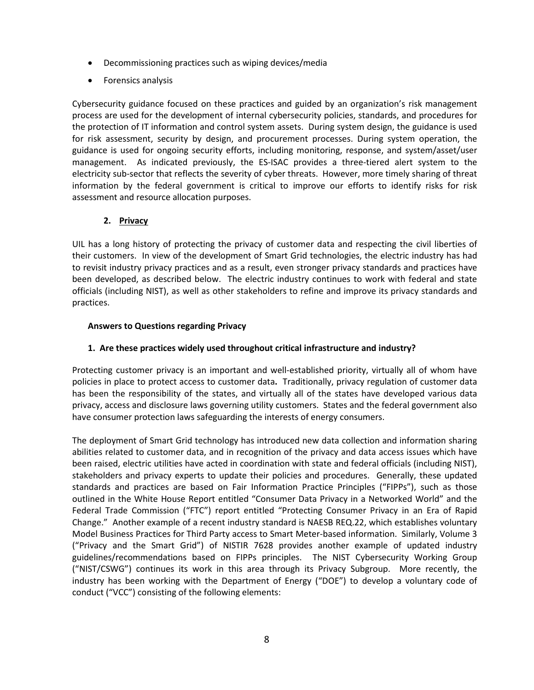- Decommissioning practices such as wiping devices/media
- Forensics analysis

Cybersecurity guidance focused on these practices and guided by an organization's risk management process are used for the development of internal cybersecurity policies, standards, and procedures for the protection of IT information and control system assets. During system design, the guidance is used for risk assessment, security by design, and procurement processes. During system operation, the guidance is used for ongoing security efforts, including monitoring, response, and system/asset/user management. As indicated previously, the ES-ISAC provides a three-tiered alert system to the electricity sub-sector that reflects the severity of cyber threats. However, more timely sharing of threat information by the federal government is critical to improve our efforts to identify risks for risk assessment and resource allocation purposes.

# **2. Privacy**

UIL has a long history of protecting the privacy of customer data and respecting the civil liberties of their customers. In view of the development of Smart Grid technologies, the electric industry has had to revisit industry privacy practices and as a result, even stronger privacy standards and practices have been developed, as described below. The electric industry continues to work with federal and state officials (including NIST), as well as other stakeholders to refine and improve its privacy standards and practices.

# **Answers to Questions regarding Privacy**

## **1. Are these practices widely used throughout critical infrastructure and industry?**

Protecting customer privacy is an important and well-established priority, virtually all of whom have policies in place to protect access to customer data**.** Traditionally, privacy regulation of customer data has been the responsibility of the states, and virtually all of the states have developed various data privacy, access and disclosure laws governing utility customers. States and the federal government also have consumer protection laws safeguarding the interests of energy consumers.

The deployment of Smart Grid technology has introduced new data collection and information sharing abilities related to customer data, and in recognition of the privacy and data access issues which have been raised, electric utilities have acted in coordination with state and federal officials (including NIST), stakeholders and privacy experts to update their policies and procedures. Generally, these updated standards and practices are based on Fair Information Practice Principles ("FIPPs"), such as those outlined in the White House Report entitled "Consumer Data Privacy in a Networked World" and the Federal Trade Commission ("FTC") report entitled "Protecting Consumer Privacy in an Era of Rapid Change." Another example of a recent industry standard is NAESB REQ.22, which establishes voluntary Model Business Practices for Third Party access to Smart Meter-based information. Similarly, Volume 3 ("Privacy and the Smart Grid") of NISTIR 7628 provides another example of updated industry guidelines/recommendations based on FIPPs principles. The NIST Cybersecurity Working Group ("NIST/CSWG") continues its work in this area through its Privacy Subgroup. More recently, the industry has been working with the Department of Energy ("DOE") to develop a voluntary code of conduct ("VCC") consisting of the following elements: